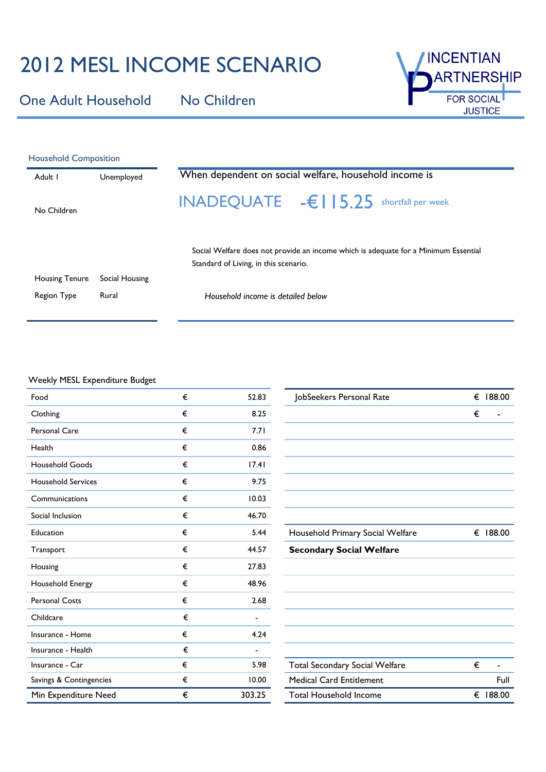## 2012 MESL INCOME SCENARIO

One Adult Household No Children



| <b>Household Composition</b> |                |                                                                                                                              |  |  |  |
|------------------------------|----------------|------------------------------------------------------------------------------------------------------------------------------|--|--|--|
| Adult I                      | Unemployed     | When dependent on social welfare, household income is                                                                        |  |  |  |
| No Children                  |                | INADEQUATE $-\epsilon$   $15.25$ shortfall per week                                                                          |  |  |  |
|                              |                | Social Welfare does not provide an income which is adequate for a Minimum Essential<br>Standard of Living, in this scenario. |  |  |  |
| <b>Housing Tenure</b>        | Social Housing |                                                                                                                              |  |  |  |
| <b>Region Type</b>           | Rural          | Household income is detailed below                                                                                           |  |  |  |

## Weekly MESL Expenditure Budget

| Food                      | € | 52.83  | JobSeekers Personal Rate              | € 188.00 |
|---------------------------|---|--------|---------------------------------------|----------|
| Clothing                  | € | 8.25   |                                       | €        |
| <b>Personal Care</b>      | € | 7.71   |                                       |          |
| Health                    | € | 0.86   |                                       |          |
| <b>Household Goods</b>    | € | 17.41  |                                       |          |
| <b>Household Services</b> | € | 9.75   |                                       |          |
| Communications            | € | 10.03  |                                       |          |
| Social Inclusion          | € | 46.70  |                                       |          |
| Education                 | € | 5.44   | Household Primary Social Welfare      | € 188.00 |
| Transport                 | € | 44.57  | <b>Secondary Social Welfare</b>       |          |
| Housing                   | € | 27.83  |                                       |          |
| Household Energy          | € | 48.96  |                                       |          |
| <b>Personal Costs</b>     | € | 2.68   |                                       |          |
| Childcare                 | € |        |                                       |          |
| Insurance - Home          | € | 4.24   |                                       |          |
| Insurance - Health        | € |        |                                       |          |
| Insurance - Car           | € | 5.98   | <b>Total Secondary Social Welfare</b> | €        |
| Savings & Contingencies   | € | 10.00  | <b>Medical Card Entitlement</b>       | Full     |
| Min Expenditure Need      | € | 303.25 | <b>Total Household Income</b>         | € 188.00 |

| JobSeekers Personal Rate              | € | 188.00   |
|---------------------------------------|---|----------|
|                                       | € |          |
|                                       |   |          |
|                                       |   |          |
|                                       |   |          |
|                                       |   |          |
|                                       |   |          |
|                                       |   |          |
|                                       |   |          |
| Household Primary Social Welfare      |   | € 188.00 |
| <b>Secondary Social Welfare</b>       |   |          |
|                                       |   |          |
|                                       |   |          |
|                                       |   |          |
|                                       |   |          |
|                                       |   |          |
|                                       |   |          |
|                                       |   |          |
| <b>Total Secondary Social Welfare</b> | € |          |
| <b>Medical Card Entitlement</b>       |   | Full     |
| <b>Total Household Income</b>         | € | 188.00   |